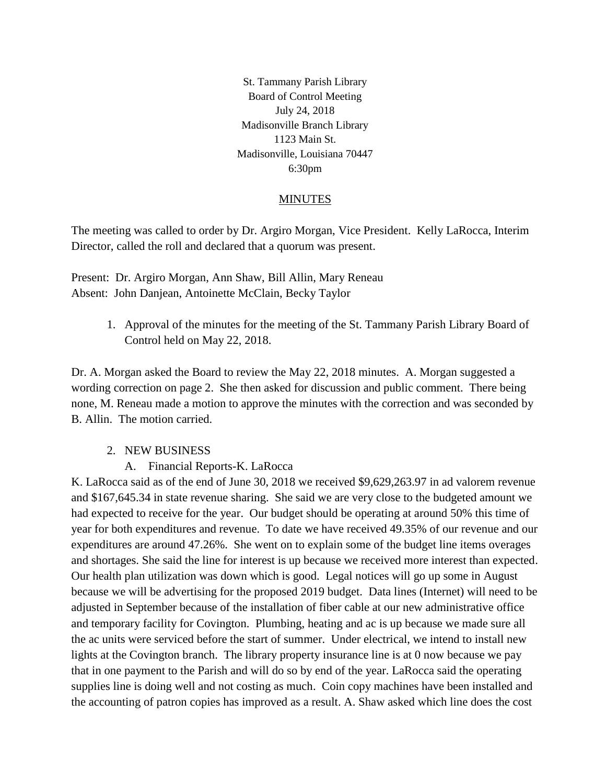St. Tammany Parish Library Board of Control Meeting July 24, 2018 Madisonville Branch Library 1123 Main St. Madisonville, Louisiana 70447 6:30pm

## MINUTES

The meeting was called to order by Dr. Argiro Morgan, Vice President. Kelly LaRocca, Interim Director, called the roll and declared that a quorum was present.

Present: Dr. Argiro Morgan, Ann Shaw, Bill Allin, Mary Reneau Absent: John Danjean, Antoinette McClain, Becky Taylor

> 1. Approval of the minutes for the meeting of the St. Tammany Parish Library Board of Control held on May 22, 2018.

Dr. A. Morgan asked the Board to review the May 22, 2018 minutes. A. Morgan suggested a wording correction on page 2. She then asked for discussion and public comment. There being none, M. Reneau made a motion to approve the minutes with the correction and was seconded by B. Allin. The motion carried.

## 2. NEW BUSINESS

A. Financial Reports-K. LaRocca

K. LaRocca said as of the end of June 30, 2018 we received \$9,629,263.97 in ad valorem revenue and \$167,645.34 in state revenue sharing. She said we are very close to the budgeted amount we had expected to receive for the year. Our budget should be operating at around 50% this time of year for both expenditures and revenue. To date we have received 49.35% of our revenue and our expenditures are around 47.26%. She went on to explain some of the budget line items overages and shortages. She said the line for interest is up because we received more interest than expected. Our health plan utilization was down which is good. Legal notices will go up some in August because we will be advertising for the proposed 2019 budget. Data lines (Internet) will need to be adjusted in September because of the installation of fiber cable at our new administrative office and temporary facility for Covington. Plumbing, heating and ac is up because we made sure all the ac units were serviced before the start of summer. Under electrical, we intend to install new lights at the Covington branch. The library property insurance line is at 0 now because we pay that in one payment to the Parish and will do so by end of the year. LaRocca said the operating supplies line is doing well and not costing as much. Coin copy machines have been installed and the accounting of patron copies has improved as a result. A. Shaw asked which line does the cost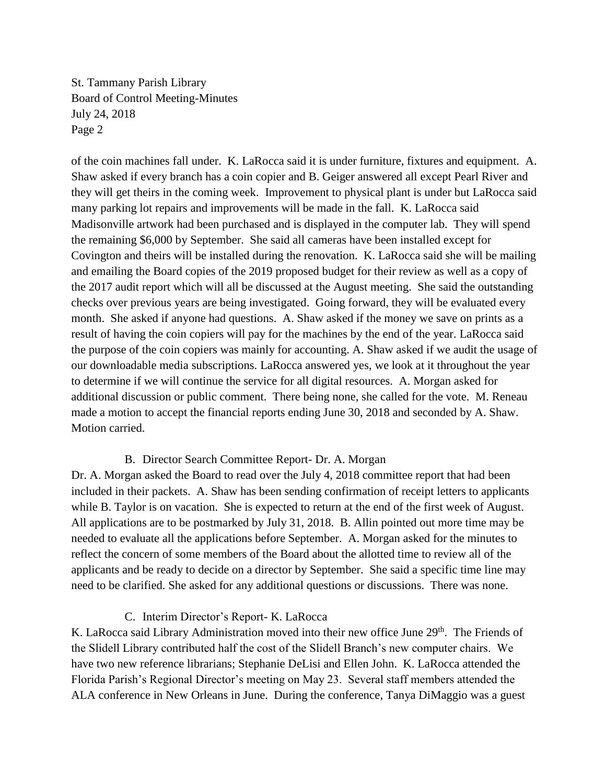St. Tammany Parish Library Board of Control Meeting-Minutes July 24, 2018 Page 2

of the coin machines fall under. K. LaRocca said it is under furniture, fixtures and equipment. A. Shaw asked if every branch has a coin copier and B. Geiger answered all except Pearl River and they will get theirs in the coming week. Improvement to physical plant is under but LaRocca said many parking lot repairs and improvements will be made in the fall. K. LaRocca said Madisonville artwork had been purchased and is displayed in the computer lab. They will spend the remaining \$6,000 by September. She said all cameras have been installed except for Covington and theirs will be installed during the renovation. K. LaRocca said she will be mailing and emailing the Board copies of the 2019 proposed budget for their review as well as a copy of the 2017 audit report which will all be discussed at the August meeting. She said the outstanding checks over previous years are being investigated. Going forward, they will be evaluated every month. She asked if anyone had questions. A. Shaw asked if the money we save on prints as a result of having the coin copiers will pay for the machines by the end of the year. LaRocca said the purpose of the coin copiers was mainly for accounting. A. Shaw asked if we audit the usage of our downloadable media subscriptions. LaRocca answered yes, we look at it throughout the year to determine if we will continue the service for all digital resources. A. Morgan asked for additional discussion or public comment. There being none, she called for the vote. M. Reneau made a motion to accept the financial reports ending June 30, 2018 and seconded by A. Shaw. Motion carried.

## B. Director Search Committee Report- Dr. A. Morgan

Dr. A. Morgan asked the Board to read over the July 4, 2018 committee report that had been included in their packets. A. Shaw has been sending confirmation of receipt letters to applicants while B. Taylor is on vacation. She is expected to return at the end of the first week of August. All applications are to be postmarked by July 31, 2018. B. Allin pointed out more time may be needed to evaluate all the applications before September. A. Morgan asked for the minutes to reflect the concern of some members of the Board about the allotted time to review all of the applicants and be ready to decide on a director by September. She said a specific time line may need to be clarified. She asked for any additional questions or discussions. There was none.

## C. Interim Director's Report- K. LaRocca

K. LaRocca said Library Administration moved into their new office June  $29<sup>th</sup>$ . The Friends of the Slidell Library contributed half the cost of the Slidell Branch's new computer chairs. We have two new reference librarians; Stephanie DeLisi and Ellen John. K. LaRocca attended the Florida Parish's Regional Director's meeting on May 23. Several staff members attended the ALA conference in New Orleans in June. During the conference, Tanya DiMaggio was a guest